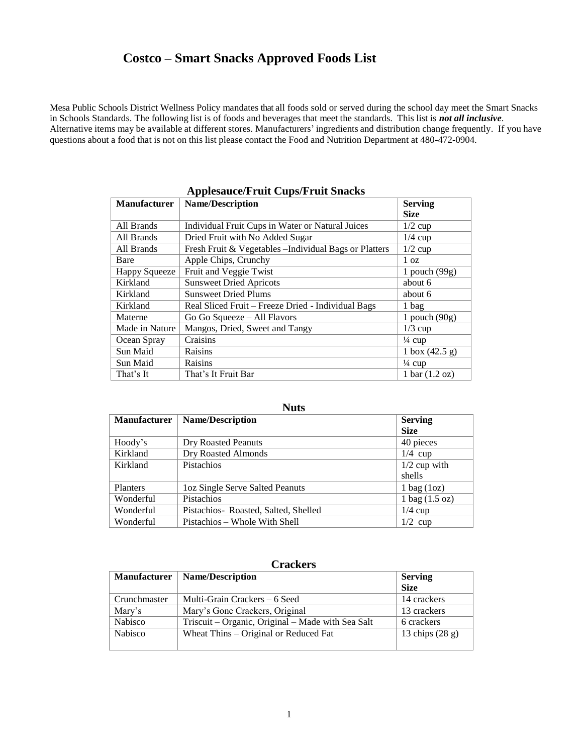# **Costco – Smart Snacks Approved Foods List**

Mesa Public Schools District Wellness Policy mandates that all foods sold or served during the school day meet the Smart Snacks in Schools Standards. The following list is of foods and beverages that meet the standards. This list is *not all inclusive*. Alternative items may be available at different stores. Manufacturers' ingredients and distribution change frequently. If you have questions about a food that is not on this list please contact the Food and Nutrition Department at 480-472-0904.

| <b>Manufacturer</b>  | <b>Name/Description</b>                                | <b>Serving</b>                    |
|----------------------|--------------------------------------------------------|-----------------------------------|
|                      |                                                        | <b>Size</b>                       |
| All Brands           | Individual Fruit Cups in Water or Natural Juices       | $1/2$ cup                         |
| All Brands           | Dried Fruit with No Added Sugar                        | $1/4$ cup                         |
| All Brands           | Fresh Fruit & Vegetables - Individual Bags or Platters | $1/2$ cup                         |
| Bare                 | Apple Chips, Crunchy                                   | 1 <sub>oz</sub>                   |
| <b>Happy Squeeze</b> | Fruit and Veggie Twist                                 | 1 pouch $(99g)$                   |
| Kirkland             | <b>Sunsweet Dried Apricots</b>                         | about 6                           |
| Kirkland             | <b>Sunsweet Dried Plums</b>                            | about 6                           |
| Kirkland             | Real Sliced Fruit - Freeze Dried - Individual Bags     | 1 bag                             |
| Materne              | Go Go Squeeze - All Flavors                            | 1 pouch $(90g)$                   |
| Made in Nature       | Mangos, Dried, Sweet and Tangy                         | $1/3$ cup                         |
| Ocean Spray          | Craisins                                               | $\frac{1}{4}$ cup                 |
| Sun Maid             | Raisins                                                | $1 \text{ box } (42.5 \text{ g})$ |
| Sun Maid             | Raisins                                                | $\frac{1}{4}$ cup                 |
| That's It            | That's It Fruit Bar                                    | $1 \text{ bar} (1.2 \text{ oz})$  |

#### **Applesauce/Fruit Cups/Fruit Snacks**

| <b>Manufacturer</b> | <b>Name/Description</b>             | <b>Serving</b>             |
|---------------------|-------------------------------------|----------------------------|
|                     |                                     | <b>Size</b>                |
| Hoody's             | Dry Roasted Peanuts                 | 40 pieces                  |
| Kirkland            | Dry Roasted Almonds                 | $1/4$ cup                  |
| Kirkland            | Pistachios                          | $1/2$ cup with             |
|                     |                                     | shells                     |
| Planters            | loz Single Serve Salted Peanuts     | $1$ bag $(1oz)$            |
| Wonderful           | Pistachios                          | $1$ bag $(1.5 \text{ oz})$ |
| Wonderful           | Pistachios-Roasted, Salted, Shelled | $1/4$ cup                  |
| Wonderful           | Pistachios – Whole With Shell       | $1/2$ cup                  |

#### **Crackers**

| Manufacturer   | <b>Name/Description</b>                           | <b>Serving</b>    |
|----------------|---------------------------------------------------|-------------------|
|                |                                                   | <b>Size</b>       |
| Crunchmaster   | Multi-Grain Crackers – 6 Seed                     | 14 crackers       |
| Mary's         | Mary's Gone Crackers, Original                    | 13 crackers       |
| <b>Nabisco</b> | Triscuit – Organic, Original – Made with Sea Salt | 6 crackers        |
| <b>Nabisco</b> | Wheat Thins – Original or Reduced Fat             | 13 chips $(28 g)$ |
|                |                                                   |                   |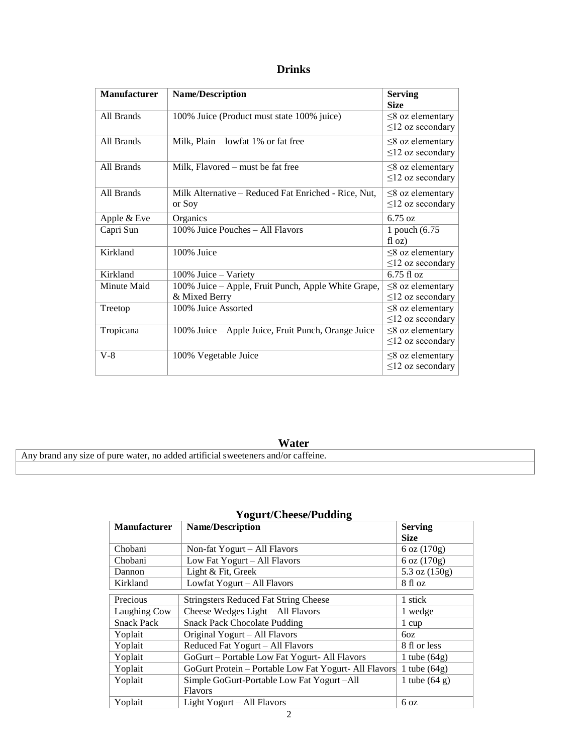## **Drinks**

| <b>Manufacturer</b> | <b>Name/Description</b>                                              | <b>Serving</b><br><b>Size</b>                    |
|---------------------|----------------------------------------------------------------------|--------------------------------------------------|
| All Brands          | 100% Juice (Product must state 100% juice)                           | $\leq$ 8 oz elementary<br>$\leq$ 12 oz secondary |
| All Brands          | Milk, Plain $-$ lowfat 1% or fat free                                | $\leq$ 8 oz elementary<br>$\leq$ 12 oz secondary |
| All Brands          | Milk, Flavored – must be fat free                                    | $\leq$ 8 oz elementary<br>$\leq$ 12 oz secondary |
| All Brands          | Milk Alternative – Reduced Fat Enriched - Rice, Nut,<br>or Soy       | $\leq$ 8 oz elementary<br>$\leq$ 12 oz secondary |
| Apple & Eve         | Organics                                                             | $6.75 \text{ oz}$                                |
| Capri Sun           | 100% Juice Pouches - All Flavors                                     | 1 pouch (6.75)<br>f1 oz)                         |
| Kirkland            | 100% Juice                                                           | $\leq$ 8 oz elementary<br>$\leq$ 12 oz secondary |
| Kirkland            | 100% Juice - Variety                                                 | $6.75$ fl oz                                     |
| Minute Maid         | 100% Juice - Apple, Fruit Punch, Apple White Grape,<br>& Mixed Berry | $\leq$ 8 oz elementary<br>$\leq$ 12 oz secondary |
| Treetop             | 100% Juice Assorted                                                  | $\leq$ 8 oz elementary<br>$\leq$ 12 oz secondary |
| Tropicana           | 100% Juice - Apple Juice, Fruit Punch, Orange Juice                  | $\leq$ 8 oz elementary<br>$\leq$ 12 oz secondary |
| $V-8$               | 100% Vegetable Juice                                                 | $\leq$ 8 oz elementary<br>$\leq$ 12 oz secondary |

# **Water**

Any brand any size of pure water, no added artificial sweeteners and/or caffeine.

# **Yogurt/Cheese/Pudding**

| <b>Manufacturer</b> | <b>Name/Description</b>                               | <b>Serving</b>                 |
|---------------------|-------------------------------------------------------|--------------------------------|
|                     |                                                       | <b>Size</b>                    |
| Chobani             | Non-fat Yogurt - All Flavors                          | $6 \text{ oz } (170 \text{g})$ |
| Chobani             | Low Fat Yogurt - All Flavors                          | 6 oz (170g)                    |
| Dannon              | Light & Fit, Greek                                    | 5.3 oz $(150g)$                |
| Kirkland            | Lowfat Yogurt - All Flavors                           | 8 fl oz                        |
| Precious            | <b>Stringsters Reduced Fat String Cheese</b>          | 1 stick                        |
|                     |                                                       |                                |
| Laughing Cow        | Cheese Wedges Light - All Flavors                     | 1 wedge                        |
| <b>Snack Pack</b>   | <b>Snack Pack Chocolate Pudding</b>                   | 1 cup                          |
| Yoplait             | Original Yogurt - All Flavors                         | 60z                            |
| Yoplait             | Reduced Fat Yogurt - All Flavors                      | 8 fl or less                   |
| Yoplait             | GoGurt – Portable Low Fat Yogurt- All Flavors         | 1 tube $(64g)$                 |
| Yoplait             | GoGurt Protein - Portable Low Fat Yogurt- All Flavors | 1 tube $(64g)$                 |
| Yoplait             | Simple GoGurt-Portable Low Fat Yogurt-All             | 1 tube $(64 g)$                |
|                     | <b>Flavors</b>                                        |                                |
| Yoplait             | Light Yogurt – All Flavors                            | 6 <sub>oz</sub>                |